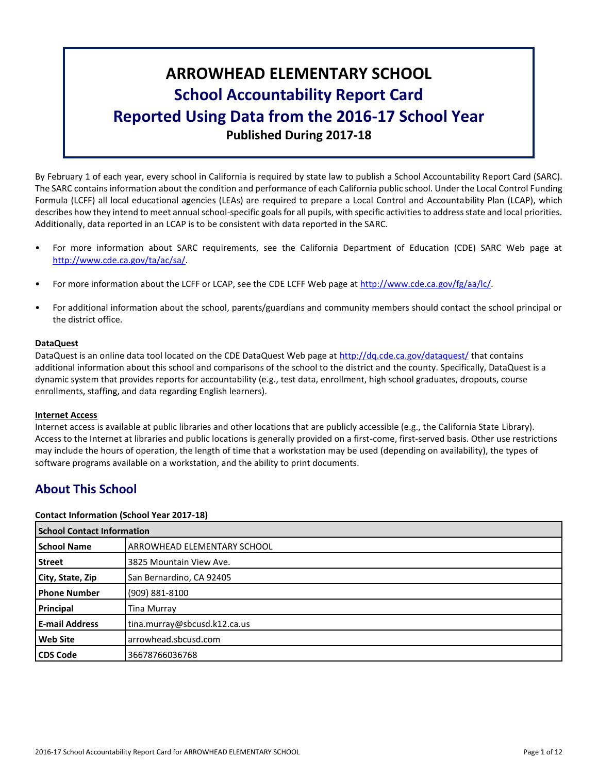# **ARROWHEAD ELEMENTARY SCHOOL School Accountability Report Card Reported Using Data from the 2016-17 School Year Published During 2017-18**

By February 1 of each year, every school in California is required by state law to publish a School Accountability Report Card (SARC). The SARC contains information about the condition and performance of each California public school. Under the Local Control Funding Formula (LCFF) all local educational agencies (LEAs) are required to prepare a Local Control and Accountability Plan (LCAP), which describes how they intend to meet annual school-specific goals for all pupils, with specific activities to address state and local priorities. Additionally, data reported in an LCAP is to be consistent with data reported in the SARC.

- For more information about SARC requirements, see the California Department of Education (CDE) SARC Web page at [http://www.cde.ca.gov/ta/ac/sa/.](http://www.cde.ca.gov/ta/ac/sa/)
- For more information about the LCFF or LCAP, see the CDE LCFF Web page at [http://www.cde.ca.gov/fg/aa/lc/.](http://www.cde.ca.gov/fg/aa/lc/)
- For additional information about the school, parents/guardians and community members should contact the school principal or the district office.

# **DataQuest**

DataQuest is an online data tool located on the CDE DataQuest Web page at<http://dq.cde.ca.gov/dataquest/> that contains additional information about this school and comparisons of the school to the district and the county. Specifically, DataQuest is a dynamic system that provides reports for accountability (e.g., test data, enrollment, high school graduates, dropouts, course enrollments, staffing, and data regarding English learners).

# **Internet Access**

Internet access is available at public libraries and other locations that are publicly accessible (e.g., the California State Library). Access to the Internet at libraries and public locations is generally provided on a first-come, first-served basis. Other use restrictions may include the hours of operation, the length of time that a workstation may be used (depending on availability), the types of software programs available on a workstation, and the ability to print documents.

# **About This School**

# **Contact Information (School Year 2017-18)**

|                       | <b>School Contact Information</b>  |  |  |  |
|-----------------------|------------------------------------|--|--|--|
| <b>School Name</b>    | <b>ARROWHEAD ELEMENTARY SCHOOL</b> |  |  |  |
| <b>Street</b>         | 3825 Mountain View Ave.            |  |  |  |
| City, State, Zip      | San Bernardino, CA 92405           |  |  |  |
| <b>Phone Number</b>   | (909) 881-8100                     |  |  |  |
| Principal             | Tina Murray                        |  |  |  |
| <b>E-mail Address</b> | tina.murray@sbcusd.k12.ca.us       |  |  |  |
| <b>Web Site</b>       | arrowhead.sbcusd.com               |  |  |  |
| <b>CDS Code</b>       | 36678766036768                     |  |  |  |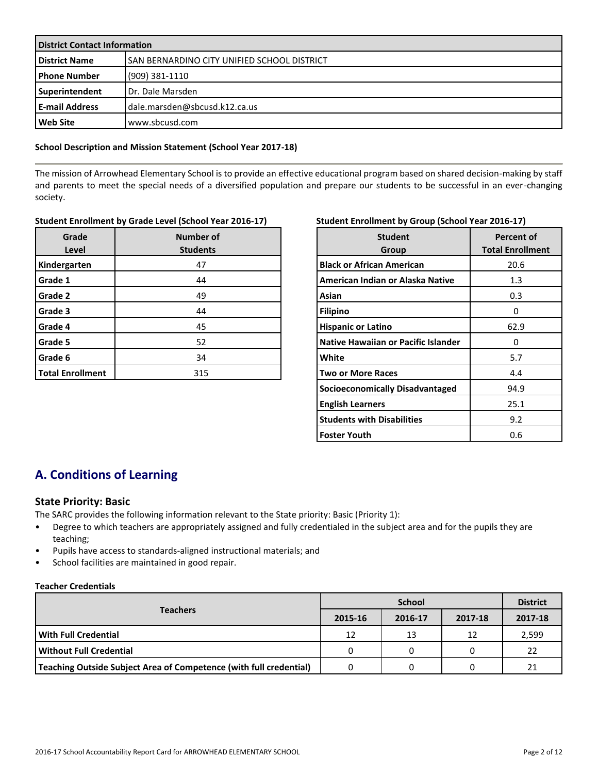| <b>District Contact Information</b> |                                              |  |  |
|-------------------------------------|----------------------------------------------|--|--|
| <b>District Name</b>                | lSAN BERNARDINO CITY UNIFIED SCHOOL DISTRICT |  |  |
| l Phone Number                      | (909) 381-1110                               |  |  |
| Superintendent                      | Dr. Dale Marsden                             |  |  |
| l E-mail Address                    | dale.marsden@sbcusd.k12.ca.us                |  |  |
| Web Site                            | www.sbcusd.com                               |  |  |

#### **School Description and Mission Statement (School Year 2017-18)**

The mission of Arrowhead Elementary School is to provide an effective educational program based on shared decision-making by staff and parents to meet the special needs of a diversified population and prepare our students to be successful in an ever-changing society.

# **Student Enrollment by Grade Level (School Year 2016-17)**

| Grade<br>Level          | Number of<br><b>Students</b> |  |  |  |
|-------------------------|------------------------------|--|--|--|
| Kindergarten            | 47                           |  |  |  |
| Grade 1                 | 44                           |  |  |  |
| Grade 2                 | 49                           |  |  |  |
| Grade 3                 | 44                           |  |  |  |
| Grade 4                 | 45                           |  |  |  |
| Grade 5                 | 52                           |  |  |  |
| Grade 6                 | 34                           |  |  |  |
| <b>Total Enrollment</b> | 315                          |  |  |  |

# **Student Enrollment by Group (School Year 2016-17)**

| <b>Student</b><br>Group             | <b>Percent of</b><br><b>Total Enrollment</b> |
|-------------------------------------|----------------------------------------------|
| <b>Black or African American</b>    | 20.6                                         |
| American Indian or Alaska Native    | 1.3                                          |
| Asian                               | 0.3                                          |
| <b>Filipino</b>                     | Ω                                            |
| <b>Hispanic or Latino</b>           | 62.9                                         |
| Native Hawaiian or Pacific Islander | 0                                            |
| White                               | 5.7                                          |
| <b>Two or More Races</b>            | 4.4                                          |
| Socioeconomically Disadvantaged     | 94.9                                         |
| <b>English Learners</b>             | 25.1                                         |
| <b>Students with Disabilities</b>   | 9.2                                          |
| <b>Foster Youth</b>                 | 0.6                                          |

# **A. Conditions of Learning**

# **State Priority: Basic**

The SARC provides the following information relevant to the State priority: Basic (Priority 1):

- Degree to which teachers are appropriately assigned and fully credentialed in the subject area and for the pupils they are teaching;
- Pupils have access to standards-aligned instructional materials; and
- School facilities are maintained in good repair.

#### **Teacher Credentials**

|                                                                    | <b>School</b> |         |         | <b>District</b> |
|--------------------------------------------------------------------|---------------|---------|---------|-----------------|
| <b>Teachers</b>                                                    | 2015-16       | 2016-17 | 2017-18 | 2017-18         |
| With Full Credential                                               | 12            | 13      | 12      | 2,599           |
| Without Full Credential                                            | 0             |         |         | 22              |
| Teaching Outside Subject Area of Competence (with full credential) |               |         |         | 21              |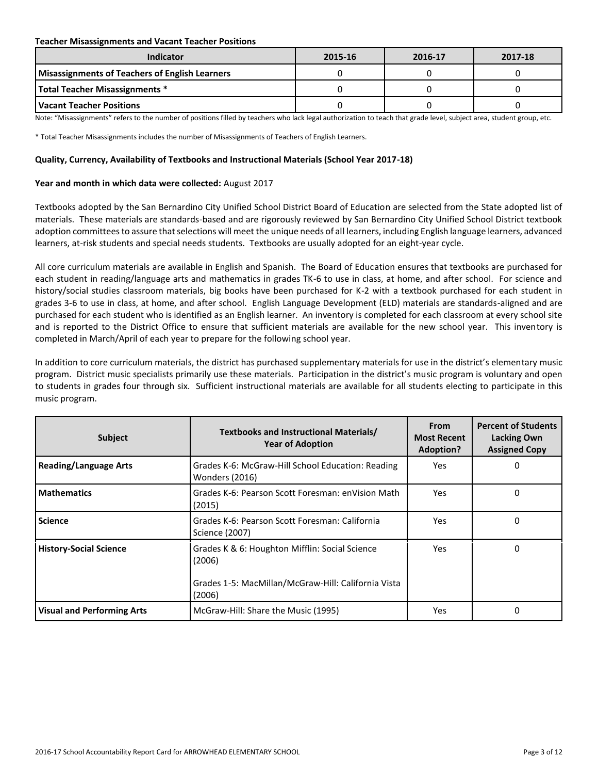#### **Teacher Misassignments and Vacant Teacher Positions**

| Indicator                                             | 2015-16 | 2016-17 | 2017-18 |
|-------------------------------------------------------|---------|---------|---------|
| <b>Misassignments of Teachers of English Learners</b> |         |         |         |
| <b>Total Teacher Misassignments *</b>                 |         |         |         |
| l Vacant Teacher Positions                            |         |         |         |

Note: "Misassignments" refers to the number of positions filled by teachers who lack legal authorization to teach that grade level, subject area, student group, etc.

\* Total Teacher Misassignments includes the number of Misassignments of Teachers of English Learners.

#### **Quality, Currency, Availability of Textbooks and Instructional Materials (School Year 2017-18)**

#### **Year and month in which data were collected:** August 2017

Textbooks adopted by the San Bernardino City Unified School District Board of Education are selected from the State adopted list of materials. These materials are standards-based and are rigorously reviewed by San Bernardino City Unified School District textbook adoption committees to assure that selections will meet the unique needs of all learners, including English language learners, advanced learners, at-risk students and special needs students. Textbooks are usually adopted for an eight-year cycle.

All core curriculum materials are available in English and Spanish. The Board of Education ensures that textbooks are purchased for each student in reading/language arts and mathematics in grades TK-6 to use in class, at home, and after school. For science and history/social studies classroom materials, big books have been purchased for K-2 with a textbook purchased for each student in grades 3-6 to use in class, at home, and after school. English Language Development (ELD) materials are standards-aligned and are purchased for each student who is identified as an English learner. An inventory is completed for each classroom at every school site and is reported to the District Office to ensure that sufficient materials are available for the new school year. This inventory is completed in March/April of each year to prepare for the following school year.

In addition to core curriculum materials, the district has purchased supplementary materials for use in the district's elementary music program. District music specialists primarily use these materials. Participation in the district's music program is voluntary and open to students in grades four through six. Sufficient instructional materials are available for all students electing to participate in this music program.

| <b>Subject</b>                    | Textbooks and Instructional Materials/<br><b>Year of Adoption</b>                                                         | <b>From</b><br><b>Most Recent</b><br>Adoption? | <b>Percent of Students</b><br>Lacking Own<br><b>Assigned Copy</b> |
|-----------------------------------|---------------------------------------------------------------------------------------------------------------------------|------------------------------------------------|-------------------------------------------------------------------|
| <b>Reading/Language Arts</b>      | Grades K-6: McGraw-Hill School Education: Reading<br><b>Wonders (2016)</b>                                                | Yes.                                           | 0                                                                 |
| <b>Mathematics</b>                | Grades K-6: Pearson Scott Foresman: enVision Math<br>(2015)                                                               | Yes                                            | 0                                                                 |
| <b>Science</b>                    | Grades K-6: Pearson Scott Foresman: California<br>Science (2007)                                                          | Yes                                            | 0                                                                 |
| <b>History-Social Science</b>     | Grades K & 6: Houghton Mifflin: Social Science<br>(2006)<br>Grades 1-5: MacMillan/McGraw-Hill: California Vista<br>(2006) | Yes                                            | 0                                                                 |
| <b>Visual and Performing Arts</b> | McGraw-Hill: Share the Music (1995)                                                                                       | Yes                                            | 0                                                                 |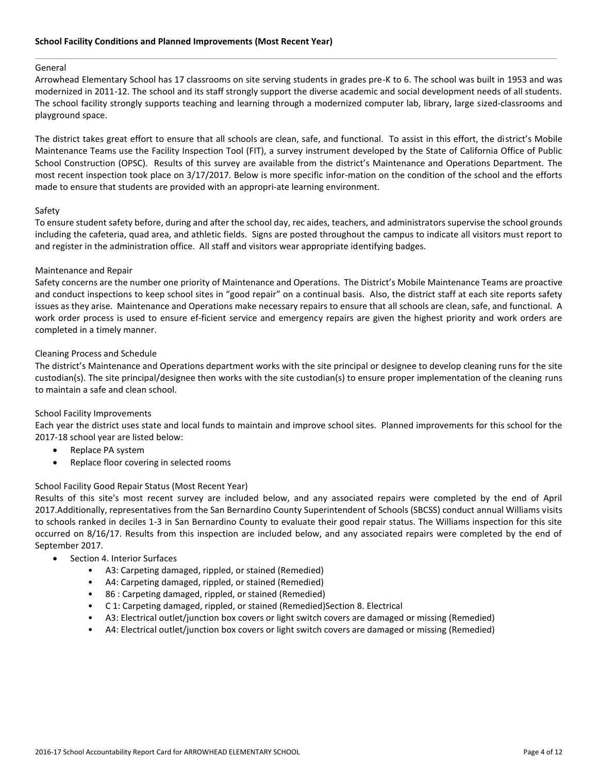#### General

Arrowhead Elementary School has 17 classrooms on site serving students in grades pre-K to 6. The school was built in 1953 and was modernized in 2011-12. The school and its staff strongly support the diverse academic and social development needs of all students. The school facility strongly supports teaching and learning through a modernized computer lab, library, large sized-classrooms and playground space.

The district takes great effort to ensure that all schools are clean, safe, and functional. To assist in this effort, the district's Mobile Maintenance Teams use the Facility Inspection Tool (FIT), a survey instrument developed by the State of California Office of Public School Construction (OPSC). Results of this survey are available from the district's Maintenance and Operations Department. The most recent inspection took place on 3/17/2017. Below is more specific infor-mation on the condition of the school and the efforts made to ensure that students are provided with an appropri-ate learning environment.

#### Safety

To ensure student safety before, during and after the school day, rec aides, teachers, and administrators supervise the school grounds including the cafeteria, quad area, and athletic fields. Signs are posted throughout the campus to indicate all visitors must report to and register in the administration office. All staff and visitors wear appropriate identifying badges.

#### Maintenance and Repair

Safety concerns are the number one priority of Maintenance and Operations. The District's Mobile Maintenance Teams are proactive and conduct inspections to keep school sites in "good repair" on a continual basis. Also, the district staff at each site reports safety issues as they arise. Maintenance and Operations make necessary repairs to ensure that all schools are clean, safe, and functional. A work order process is used to ensure ef-ficient service and emergency repairs are given the highest priority and work orders are completed in a timely manner.

#### Cleaning Process and Schedule

The district's Maintenance and Operations department works with the site principal or designee to develop cleaning runs for the site custodian(s). The site principal/designee then works with the site custodian(s) to ensure proper implementation of the cleaning runs to maintain a safe and clean school.

#### School Facility Improvements

Each year the district uses state and local funds to maintain and improve school sites. Planned improvements for this school for the 2017-18 school year are listed below:

- Replace PA system
- Replace floor covering in selected rooms

#### School Facility Good Repair Status (Most Recent Year)

Results of this site's most recent survey are included below, and any associated repairs were completed by the end of April 2017.Additionally, representatives from the San Bernardino County Superintendent of Schools (SBCSS) conduct annual Williams visits to schools ranked in deciles 1-3 in San Bernardino County to evaluate their good repair status. The Williams inspection for this site occurred on 8/16/17. Results from this inspection are included below, and any associated repairs were completed by the end of September 2017.

- Section 4. Interior Surfaces
	- A3: Carpeting damaged, rippled, or stained (Remedied)
	- A4: Carpeting damaged, rippled, or stained (Remedied)
	- 86 : Carpeting damaged, rippled, or stained (Remedied)
	- C 1: Carpeting damaged, rippled, or stained (Remedied)Section 8. Electrical
	- A3: Electrical outlet/junction box covers or light switch covers are damaged or missing (Remedied)
	- A4: Electrical outlet/junction box covers or light switch covers are damaged or missing (Remedied)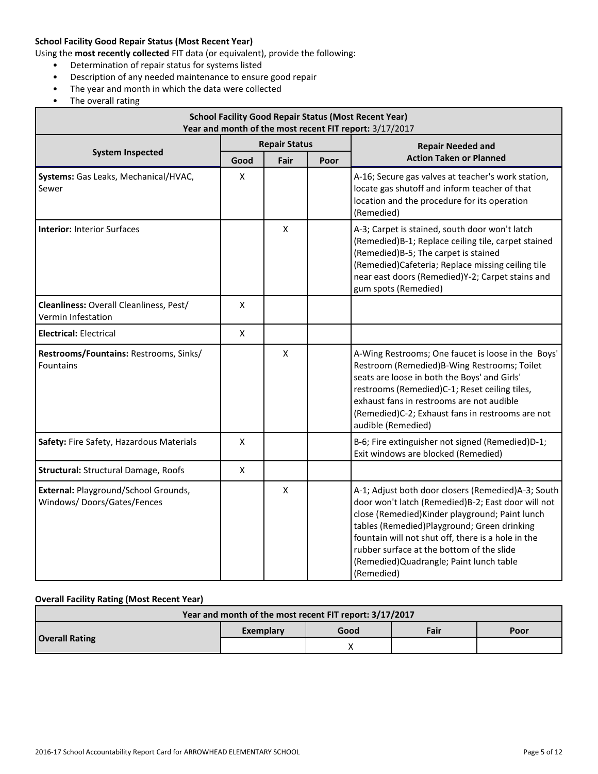# **School Facility Good Repair Status (Most Recent Year)**

Using the **most recently collected** FIT data (or equivalent), provide the following:

- Determination of repair status for systems listed
- Description of any needed maintenance to ensure good repair
- The year and month in which the data were collected
- The overall rating

| <b>School Facility Good Repair Status (Most Recent Year)</b><br>Year and month of the most recent FIT report: 3/17/2017 |             |                      |      |                                                                                                                                                                                                                                                                                                                                                                         |  |  |
|-------------------------------------------------------------------------------------------------------------------------|-------------|----------------------|------|-------------------------------------------------------------------------------------------------------------------------------------------------------------------------------------------------------------------------------------------------------------------------------------------------------------------------------------------------------------------------|--|--|
|                                                                                                                         |             | <b>Repair Status</b> |      | <b>Repair Needed and</b>                                                                                                                                                                                                                                                                                                                                                |  |  |
| <b>System Inspected</b>                                                                                                 | Good        | Fair                 | Poor | <b>Action Taken or Planned</b>                                                                                                                                                                                                                                                                                                                                          |  |  |
| Systems: Gas Leaks, Mechanical/HVAC,<br>Sewer                                                                           | X           |                      |      | A-16; Secure gas valves at teacher's work station,<br>locate gas shutoff and inform teacher of that<br>location and the procedure for its operation<br>(Remedied)                                                                                                                                                                                                       |  |  |
| <b>Interior: Interior Surfaces</b>                                                                                      |             | X                    |      | A-3; Carpet is stained, south door won't latch<br>(Remedied)B-1; Replace ceiling tile, carpet stained<br>(Remedied) B-5; The carpet is stained<br>(Remedied)Cafeteria; Replace missing ceiling tile<br>near east doors (Remedied)Y-2; Carpet stains and<br>gum spots (Remedied)                                                                                         |  |  |
| Cleanliness: Overall Cleanliness, Pest/<br>Vermin Infestation                                                           | X           |                      |      |                                                                                                                                                                                                                                                                                                                                                                         |  |  |
| <b>Electrical: Electrical</b>                                                                                           | $\mathsf X$ |                      |      |                                                                                                                                                                                                                                                                                                                                                                         |  |  |
| Restrooms/Fountains: Restrooms, Sinks/<br>Fountains                                                                     |             | $\pmb{\mathsf{X}}$   |      | A-Wing Restrooms; One faucet is loose in the Boys'<br>Restroom (Remedied)B-Wing Restrooms; Toilet<br>seats are loose in both the Boys' and Girls'<br>restrooms (Remedied)C-1; Reset ceiling tiles,<br>exhaust fans in restrooms are not audible<br>(Remedied)C-2; Exhaust fans in restrooms are not<br>audible (Remedied)                                               |  |  |
| Safety: Fire Safety, Hazardous Materials                                                                                | X           |                      |      | B-6; Fire extinguisher not signed (Remedied)D-1;<br>Exit windows are blocked (Remedied)                                                                                                                                                                                                                                                                                 |  |  |
| Structural: Structural Damage, Roofs                                                                                    | X           |                      |      |                                                                                                                                                                                                                                                                                                                                                                         |  |  |
| External: Playground/School Grounds,<br>Windows/Doors/Gates/Fences                                                      |             | $\pmb{\mathsf{X}}$   |      | A-1; Adjust both door closers (Remedied)A-3; South<br>door won't latch (Remedied)B-2; East door will not<br>close (Remedied) Kinder playground; Paint lunch<br>tables (Remedied)Playground; Green drinking<br>fountain will not shut off, there is a hole in the<br>rubber surface at the bottom of the slide<br>(Remedied) Quadrangle; Paint lunch table<br>(Remedied) |  |  |

#### **Overall Facility Rating (Most Recent Year)**

| Year and month of the most recent FIT report: 3/17/2017 |           |      |      |      |  |
|---------------------------------------------------------|-----------|------|------|------|--|
| <b>Overall Rating</b>                                   | Exemplary | Good | Fair | Poor |  |
|                                                         |           |      |      |      |  |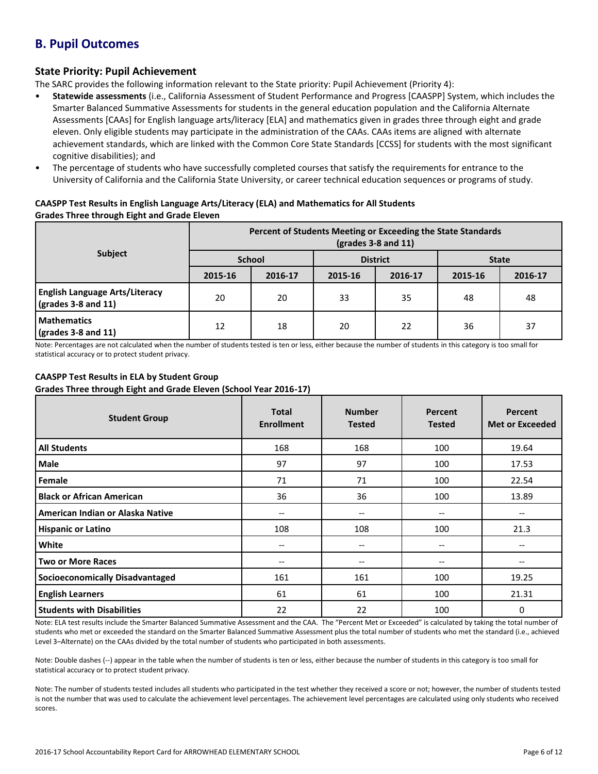# **B. Pupil Outcomes**

# **State Priority: Pupil Achievement**

The SARC provides the following information relevant to the State priority: Pupil Achievement (Priority 4):

- **Statewide assessments** (i.e., California Assessment of Student Performance and Progress [CAASPP] System, which includes the Smarter Balanced Summative Assessments for students in the general education population and the California Alternate Assessments [CAAs] for English language arts/literacy [ELA] and mathematics given in grades three through eight and grade eleven. Only eligible students may participate in the administration of the CAAs. CAAs items are aligned with alternate achievement standards, which are linked with the Common Core State Standards [CCSS] for students with the most significant cognitive disabilities); and
- The percentage of students who have successfully completed courses that satisfy the requirements for entrance to the University of California and the California State University, or career technical education sequences or programs of study.

# **CAASPP Test Results in English Language Arts/Literacy (ELA) and Mathematics for All Students Grades Three through Eight and Grade Eleven**

|                                                                      | Percent of Students Meeting or Exceeding the State Standards<br>$\left(\text{grades }3 - 8 \text{ and } 11\right)$ |         |                 |         |              |         |  |
|----------------------------------------------------------------------|--------------------------------------------------------------------------------------------------------------------|---------|-----------------|---------|--------------|---------|--|
| <b>Subject</b>                                                       | <b>School</b>                                                                                                      |         | <b>District</b> |         | <b>State</b> |         |  |
|                                                                      | 2015-16                                                                                                            | 2016-17 | 2015-16         | 2016-17 | 2015-16      | 2016-17 |  |
| <b>English Language Arts/Literacy</b><br>$\sqrt{grades}$ 3-8 and 11) | 20                                                                                                                 | 20      | 33              | 35      | 48           | 48      |  |
| <b>Mathematics</b><br>$\sqrt{\frac{1}{2}}$ (grades 3-8 and 11)       | 12                                                                                                                 | 18      | 20              | 22      | 36           | 37      |  |

Note: Percentages are not calculated when the number of students tested is ten or less, either because the number of students in this category is too small for statistical accuracy or to protect student privacy.

# **CAASPP Test Results in ELA by Student Group**

**Grades Three through Eight and Grade Eleven (School Year 2016-17)**

| <b>Student Group</b>                   | <b>Total</b><br><b>Enrollment</b> | <b>Number</b><br><b>Tested</b>        | Percent<br><b>Tested</b>              | Percent<br><b>Met or Exceeded</b> |
|----------------------------------------|-----------------------------------|---------------------------------------|---------------------------------------|-----------------------------------|
| <b>All Students</b>                    | 168                               | 168                                   | 100                                   | 19.64                             |
| <b>Male</b>                            | 97                                | 97                                    | 100                                   | 17.53                             |
| Female                                 | 71                                | 71                                    | 100                                   | 22.54                             |
| <b>Black or African American</b>       | 36                                | 36                                    | 100                                   | 13.89                             |
| American Indian or Alaska Native       | --                                | $\hspace{0.05cm}$ – $\hspace{0.05cm}$ | --                                    |                                   |
| <b>Hispanic or Latino</b>              | 108                               | 108                                   | 100                                   | 21.3                              |
| White                                  | --                                | $\hspace{0.05cm} \ldots$              | $\hspace{0.05cm}$ – $\hspace{0.05cm}$ | --                                |
| <b>Two or More Races</b>               | --                                | --                                    | --                                    | --                                |
| <b>Socioeconomically Disadvantaged</b> | 161                               | 161                                   | 100                                   | 19.25                             |
| <b>English Learners</b>                | 61                                | 61                                    | 100                                   | 21.31                             |
| <b>Students with Disabilities</b>      | 22                                | 22                                    | 100                                   | 0                                 |

Note: ELA test results include the Smarter Balanced Summative Assessment and the CAA. The "Percent Met or Exceeded" is calculated by taking the total number of students who met or exceeded the standard on the Smarter Balanced Summative Assessment plus the total number of students who met the standard (i.e., achieved Level 3–Alternate) on the CAAs divided by the total number of students who participated in both assessments.

Note: Double dashes (--) appear in the table when the number of students is ten or less, either because the number of students in this category is too small for statistical accuracy or to protect student privacy.

Note: The number of students tested includes all students who participated in the test whether they received a score or not; however, the number of students tested is not the number that was used to calculate the achievement level percentages. The achievement level percentages are calculated using only students who received scores.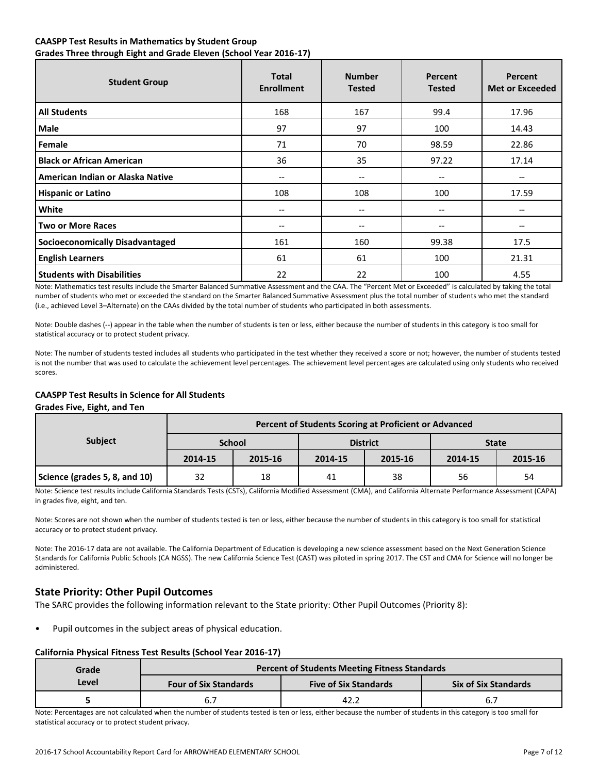# **CAASPP Test Results in Mathematics by Student Group Grades Three through Eight and Grade Eleven (School Year 2016-17)**

| <b>Student Group</b>                   | <b>Total</b><br><b>Enrollment</b> | <b>Number</b><br><b>Tested</b>        | Percent<br><b>Tested</b> | Percent<br><b>Met or Exceeded</b> |
|----------------------------------------|-----------------------------------|---------------------------------------|--------------------------|-----------------------------------|
| <b>All Students</b>                    | 168                               | 167                                   | 99.4                     | 17.96                             |
| Male                                   | 97                                | 97                                    | 100                      | 14.43                             |
| Female                                 | 71                                | 70                                    | 98.59                    | 22.86                             |
| <b>Black or African American</b>       | 36                                | 35                                    | 97.22                    | 17.14                             |
| American Indian or Alaska Native       | --                                | --                                    | --                       | --                                |
| <b>Hispanic or Latino</b>              | 108                               | 108                                   | 100                      | 17.59                             |
| White                                  | --                                | --                                    | --                       | --                                |
| <b>Two or More Races</b>               | $-$                               | $\hspace{0.05cm}$ – $\hspace{0.05cm}$ | $- -$                    | $- -$                             |
| <b>Socioeconomically Disadvantaged</b> | 161                               | 160                                   | 99.38                    | 17.5                              |
| <b>English Learners</b>                | 61                                | 61                                    | 100                      | 21.31                             |
| <b>Students with Disabilities</b>      | 22                                | 22                                    | 100                      | 4.55                              |

Note: Mathematics test results include the Smarter Balanced Summative Assessment and the CAA. The "Percent Met or Exceeded" is calculated by taking the total number of students who met or exceeded the standard on the Smarter Balanced Summative Assessment plus the total number of students who met the standard (i.e., achieved Level 3–Alternate) on the CAAs divided by the total number of students who participated in both assessments.

Note: Double dashes (--) appear in the table when the number of students is ten or less, either because the number of students in this category is too small for statistical accuracy or to protect student privacy.

Note: The number of students tested includes all students who participated in the test whether they received a score or not; however, the number of students tested is not the number that was used to calculate the achievement level percentages. The achievement level percentages are calculated using only students who received scores.

# **CAASPP Test Results in Science for All Students**

#### **Grades Five, Eight, and Ten**

| <b>Subject</b>                | Percent of Students Scoring at Proficient or Advanced |               |         |                 |              |         |  |
|-------------------------------|-------------------------------------------------------|---------------|---------|-----------------|--------------|---------|--|
|                               |                                                       | <b>School</b> |         | <b>District</b> | <b>State</b> |         |  |
|                               | 2014-15                                               | 2015-16       | 2014-15 | 2015-16         | 2014-15      | 2015-16 |  |
| Science (grades 5, 8, and 10) | 32                                                    | 18            | 41      | 38              | 56           | 54      |  |

Note: Science test results include California Standards Tests (CSTs), California Modified Assessment (CMA), and California Alternate Performance Assessment (CAPA) in grades five, eight, and ten.

Note: Scores are not shown when the number of students tested is ten or less, either because the number of students in this category is too small for statistical accuracy or to protect student privacy.

Note: The 2016-17 data are not available. The California Department of Education is developing a new science assessment based on the Next Generation Science Standards for California Public Schools (CA NGSS). The new California Science Test (CAST) was piloted in spring 2017. The CST and CMA for Science will no longer be administered.

# **State Priority: Other Pupil Outcomes**

The SARC provides the following information relevant to the State priority: Other Pupil Outcomes (Priority 8):

• Pupil outcomes in the subject areas of physical education.

# **California Physical Fitness Test Results (School Year 2016-17)**

| Grade |                              | <b>Percent of Students Meeting Fitness Standards</b> |                             |  |  |  |
|-------|------------------------------|------------------------------------------------------|-----------------------------|--|--|--|
| Level | <b>Four of Six Standards</b> | <b>Five of Six Standards</b>                         | <b>Six of Six Standards</b> |  |  |  |
|       |                              | 42.2                                                 | $\mathbf{b}$ .              |  |  |  |

Note: Percentages are not calculated when the number of students tested is ten or less, either because the number of students in this category is too small for statistical accuracy or to protect student privacy.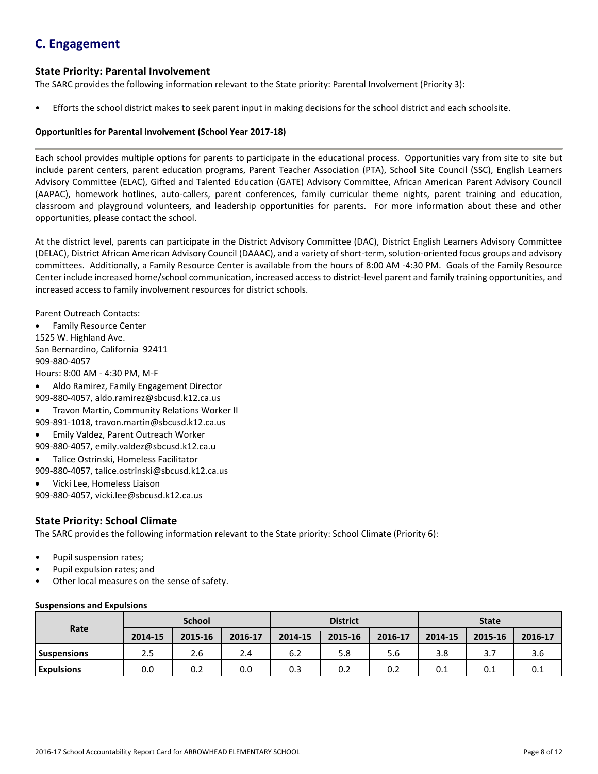# **C. Engagement**

# **State Priority: Parental Involvement**

The SARC provides the following information relevant to the State priority: Parental Involvement (Priority 3):

• Efforts the school district makes to seek parent input in making decisions for the school district and each schoolsite.

# **Opportunities for Parental Involvement (School Year 2017-18)**

Each school provides multiple options for parents to participate in the educational process. Opportunities vary from site to site but include parent centers, parent education programs, Parent Teacher Association (PTA), School Site Council (SSC), English Learners Advisory Committee (ELAC), Gifted and Talented Education (GATE) Advisory Committee, African American Parent Advisory Council (AAPAC), homework hotlines, auto-callers, parent conferences, family curricular theme nights, parent training and education, classroom and playground volunteers, and leadership opportunities for parents. For more information about these and other opportunities, please contact the school.

At the district level, parents can participate in the District Advisory Committee (DAC), District English Learners Advisory Committee (DELAC), District African American Advisory Council (DAAAC), and a variety of short-term, solution-oriented focus groups and advisory committees. Additionally, a Family Resource Center is available from the hours of 8:00 AM -4:30 PM. Goals of the Family Resource Center include increased home/school communication, increased access to district-level parent and family training opportunities, and increased access to family involvement resources for district schools.

Parent Outreach Contacts:

Family Resource Center

1525 W. Highland Ave.

San Bernardino, California 92411 909-880-4057

Hours: 8:00 AM - 4:30 PM, M-F

- Aldo Ramirez, Family Engagement Director
- 909-880-4057, aldo.ramirez@sbcusd.k12.ca.us
- Travon Martin, Community Relations Worker II

909-891-1018, travon.martin@sbcusd.k12.ca.us

- Emily Valdez, Parent Outreach Worker
- 909-880-4057, emily.valdez@sbcusd.k12.ca.u
- Talice Ostrinski, Homeless Facilitator

909-880-4057, talice.ostrinski@sbcusd.k12.ca.us

Vicki Lee, Homeless Liaison

909-880-4057, vicki.lee@sbcusd.k12.ca.us

# **State Priority: School Climate**

The SARC provides the following information relevant to the State priority: School Climate (Priority 6):

- Pupil suspension rates;
- Pupil expulsion rates; and
- Other local measures on the sense of safety.

# **Suspensions and Expulsions**

|                    | <b>School</b> |         |         | <b>District</b> |         |         | <b>State</b> |         |         |
|--------------------|---------------|---------|---------|-----------------|---------|---------|--------------|---------|---------|
| Rate               | 2014-15       | 2015-16 | 2016-17 | 2014-15         | 2015-16 | 2016-17 | 2014-15      | 2015-16 | 2016-17 |
| <b>Suspensions</b> | 2.5           | 2.6     | 2.4     | 6.2             | 5.8     | 5.6     | 3.8          |         | 3.6     |
| <b>Expulsions</b>  | 0.0           | 0.2     | 0.0     | 0.3             | 0.2     | 0.2     | 0.1          | 0.1     | 0.1     |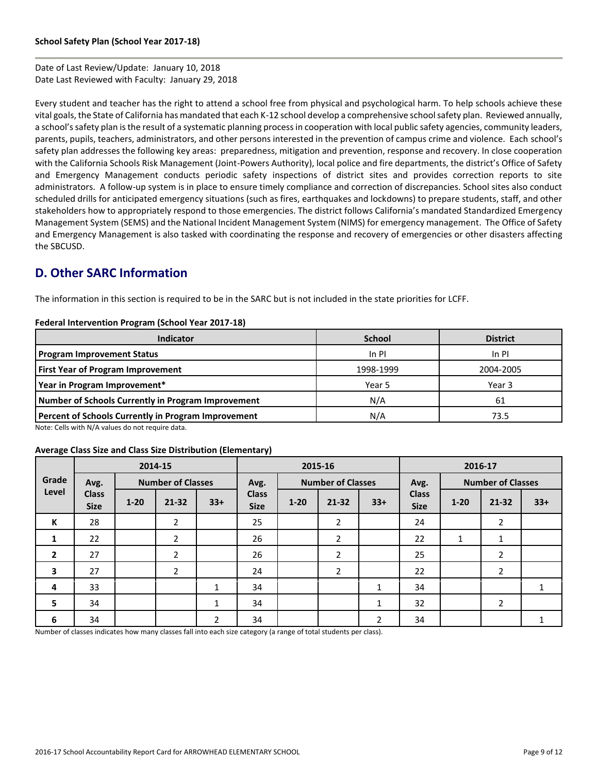Date of Last Review/Update: January 10, 2018 Date Last Reviewed with Faculty: January 29, 2018

Every student and teacher has the right to attend a school free from physical and psychological harm. To help schools achieve these vital goals, the State of California has mandated that each K-12 school develop a comprehensive school safety plan. Reviewed annually, a school's safety plan is the result of a systematic planning process in cooperation with local public safety agencies, community leaders, parents, pupils, teachers, administrators, and other persons interested in the prevention of campus crime and violence. Each school's safety plan addresses the following key areas: preparedness, mitigation and prevention, response and recovery. In close cooperation with the California Schools Risk Management (Joint-Powers Authority), local police and fire departments, the district's Office of Safety and Emergency Management conducts periodic safety inspections of district sites and provides correction reports to site administrators. A follow-up system is in place to ensure timely compliance and correction of discrepancies. School sites also conduct scheduled drills for anticipated emergency situations (such as fires, earthquakes and lockdowns) to prepare students, staff, and other stakeholders how to appropriately respond to those emergencies. The district follows California's mandated Standardized Emergency Management System (SEMS) and the National Incident Management System (NIMS) for emergency management. The Office of Safety and Emergency Management is also tasked with coordinating the response and recovery of emergencies or other disasters affecting the SBCUSD.

# **D. Other SARC Information**

The information in this section is required to be in the SARC but is not included in the state priorities for LCFF.

#### **Federal Intervention Program (School Year 2017-18)**

| <b>Indicator</b>                                           | <b>School</b> | <b>District</b> |
|------------------------------------------------------------|---------------|-----------------|
| <b>Program Improvement Status</b>                          | In PI         | $In$ $PI$       |
| <b>First Year of Program Improvement</b>                   | 1998-1999     | 2004-2005       |
| Year in Program Improvement*                               | Year 5        | Year 3          |
| Number of Schools Currently in Program Improvement         | N/A           | 61              |
| <b>Percent of Schools Currently in Program Improvement</b> | N/A           | 73.5            |

Note: Cells with N/A values do not require data.

#### **Average Class Size and Class Size Distribution (Elementary)**

|                         | 2014-15                     |          |                          |                | 2015-16                     |                          |                | 2016-17                          |                             |          |                |       |
|-------------------------|-----------------------------|----------|--------------------------|----------------|-----------------------------|--------------------------|----------------|----------------------------------|-----------------------------|----------|----------------|-------|
| Grade                   | Avg.                        |          | <b>Number of Classes</b> |                | Avg.                        | <b>Number of Classes</b> |                | <b>Number of Classes</b><br>Avg. |                             |          |                |       |
| Level                   | <b>Class</b><br><b>Size</b> | $1 - 20$ | $21 - 32$                | $33+$          | <b>Class</b><br><b>Size</b> | $1 - 20$                 | $21 - 32$      | $33+$                            | <b>Class</b><br><b>Size</b> | $1 - 20$ | $21 - 32$      | $33+$ |
| К                       | 28                          |          | $\overline{2}$           |                | 25                          |                          | 2              |                                  | 24                          |          | 2              |       |
| 1                       | 22                          |          | $\overline{2}$           |                | 26                          |                          | $\overline{2}$ |                                  | 22                          | 1        | 1              |       |
| $\overline{2}$          | 27                          |          | 2                        |                | 26                          |                          | $\overline{2}$ |                                  | 25                          |          | 2              |       |
| $\overline{\mathbf{3}}$ | 27                          |          | $\overline{2}$           |                | 24                          |                          | $\overline{2}$ |                                  | 22                          |          | $\overline{2}$ |       |
| 4                       | 33                          |          |                          | $\mathbf{1}$   | 34                          |                          |                | 1                                | 34                          |          |                |       |
| 5                       | 34                          |          |                          | $\mathbf{1}$   | 34                          |                          |                | 1                                | 32                          |          | $\overline{2}$ |       |
| 6                       | 34                          |          |                          | $\overline{2}$ | 34                          |                          |                | 2                                | 34                          |          |                |       |

Number of classes indicates how many classes fall into each size category (a range of total students per class).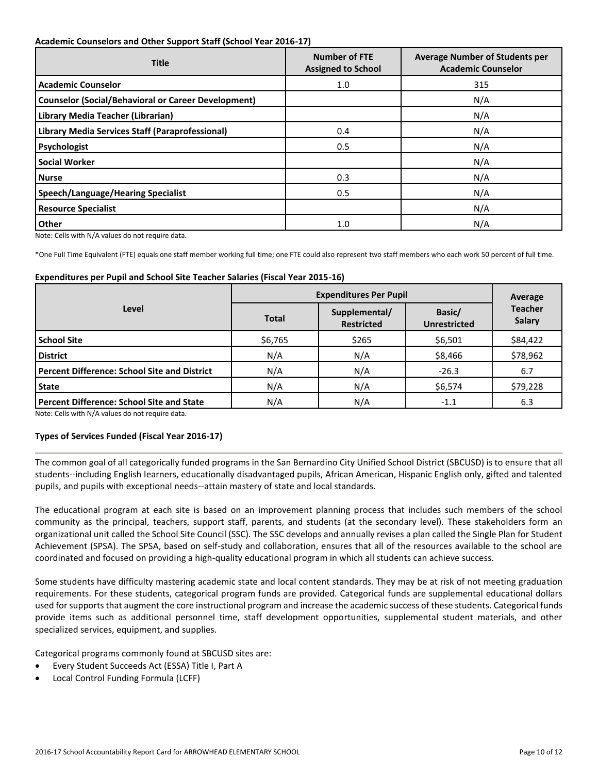#### **Academic Counselors and Other Support Staff (School Year 2016-17)**

| <b>Title</b>                                               | <b>Number of FTE</b><br><b>Assigned to School</b> | <b>Average Number of Students per</b><br><b>Academic Counselor</b> |  |  |
|------------------------------------------------------------|---------------------------------------------------|--------------------------------------------------------------------|--|--|
| <b>Academic Counselor</b>                                  | 1.0                                               | 315                                                                |  |  |
| <b>Counselor (Social/Behavioral or Career Development)</b> |                                                   | N/A                                                                |  |  |
| Library Media Teacher (Librarian)                          |                                                   | N/A                                                                |  |  |
| <b>Library Media Services Staff (Paraprofessional)</b>     | 0.4                                               | N/A                                                                |  |  |
| Psychologist                                               | 0.5                                               | N/A                                                                |  |  |
| <b>Social Worker</b>                                       |                                                   | N/A                                                                |  |  |
| <b>Nurse</b>                                               | 0.3                                               | N/A                                                                |  |  |
| <b>Speech/Language/Hearing Specialist</b>                  | 0.5                                               | N/A                                                                |  |  |
| <b>Resource Specialist</b>                                 |                                                   | N/A                                                                |  |  |
| Other                                                      | 1.0                                               | N/A                                                                |  |  |

Note: Cells with N/A values do not require data.

\*One Full Time Equivalent (FTE) equals one staff member working full time; one FTE could also represent two staff members who each work 50 percent of full time.

#### **Expenditures per Pupil and School Site Teacher Salaries (Fiscal Year 2015-16)**

|                                                     |              | Average                            |                               |                                 |
|-----------------------------------------------------|--------------|------------------------------------|-------------------------------|---------------------------------|
| Level                                               | <b>Total</b> | Supplemental/<br><b>Restricted</b> | Basic/<br><b>Unrestricted</b> | <b>Teacher</b><br><b>Salary</b> |
| <b>School Site</b>                                  | \$6,765      | \$265                              | \$6,501                       | \$84,422                        |
| <b>District</b>                                     | N/A          | N/A                                | \$8,466                       | \$78,962                        |
| <b>Percent Difference: School Site and District</b> | N/A          | N/A                                | $-26.3$                       | 6.7                             |
| State                                               | N/A          | N/A                                | \$6,574                       | \$79,228                        |
| <b>Percent Difference: School Site and State</b>    | N/A          | N/A                                | $-1.1$                        | 6.3                             |

Note: Cells with N/A values do not require data.

# **Types of Services Funded (Fiscal Year 2016-17)**

The common goal of all categorically funded programs in the San Bernardino City Unified School District (SBCUSD) is to ensure that all students--including English learners, educationally disadvantaged pupils, African American, Hispanic English only, gifted and talented pupils, and pupils with exceptional needs--attain mastery of state and local standards.

The educational program at each site is based on an improvement planning process that includes such members of the school community as the principal, teachers, support staff, parents, and students (at the secondary level). These stakeholders form an organizational unit called the School Site Council (SSC). The SSC develops and annually revises a plan called the Single Plan for Student Achievement (SPSA). The SPSA, based on self-study and collaboration, ensures that all of the resources available to the school are coordinated and focused on providing a high-quality educational program in which all students can achieve success.

Some students have difficulty mastering academic state and local content standards. They may be at risk of not meeting graduation requirements. For these students, categorical program funds are provided. Categorical funds are supplemental educational dollars used for supports that augment the core instructional program and increase the academic success of these students. Categorical funds provide items such as additional personnel time, staff development opportunities, supplemental student materials, and other specialized services, equipment, and supplies.

Categorical programs commonly found at SBCUSD sites are:

- Every Student Succeeds Act (ESSA) Title I, Part A
- Local Control Funding Formula (LCFF)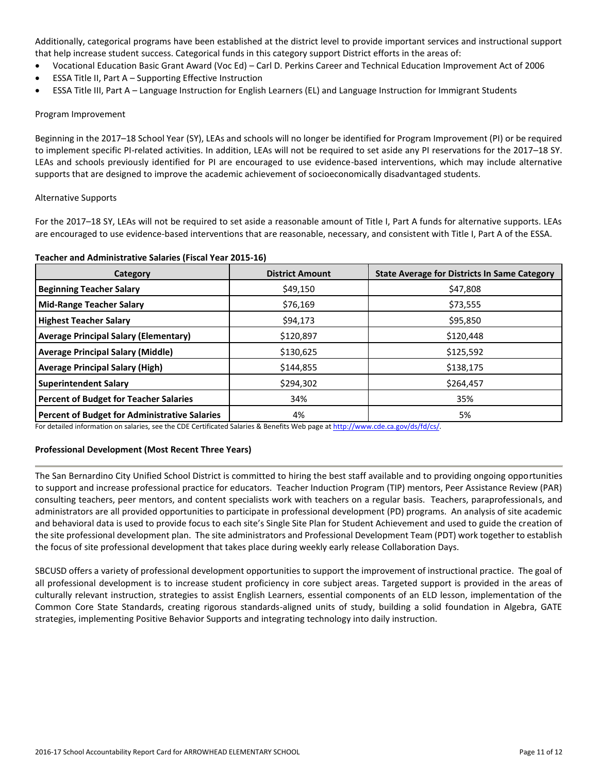Additionally, categorical programs have been established at the district level to provide important services and instructional support that help increase student success. Categorical funds in this category support District efforts in the areas of:

- Vocational Education Basic Grant Award (Voc Ed) Carl D. Perkins Career and Technical Education Improvement Act of 2006
- ESSA Title II, Part A Supporting Effective Instruction
- ESSA Title III, Part A Language Instruction for English Learners (EL) and Language Instruction for Immigrant Students

#### Program Improvement

Beginning in the 2017–18 School Year (SY), LEAs and schools will no longer be identified for Program Improvement (PI) or be required to implement specific PI-related activities. In addition, LEAs will not be required to set aside any PI reservations for the 2017–18 SY. LEAs and schools previously identified for PI are encouraged to use evidence-based interventions, which may include alternative supports that are designed to improve the academic achievement of socioeconomically disadvantaged students.

#### Alternative Supports

For the 2017–18 SY, LEAs will not be required to set aside a reasonable amount of Title I, Part A funds for alternative supports. LEAs are encouraged to use evidence-based interventions that are reasonable, necessary, and consistent with Title I, Part A of the ESSA.

#### **Teacher and Administrative Salaries (Fiscal Year 2015-16)**

| Category                                      | <b>District Amount</b> | <b>State Average for Districts In Same Category</b> |
|-----------------------------------------------|------------------------|-----------------------------------------------------|
| <b>Beginning Teacher Salary</b>               | \$49,150               | \$47,808                                            |
| <b>Mid-Range Teacher Salary</b>               | \$76,169               | \$73,555                                            |
| <b>Highest Teacher Salary</b>                 | \$94,173               | \$95,850                                            |
| <b>Average Principal Salary (Elementary)</b>  | \$120,897              | \$120,448                                           |
| <b>Average Principal Salary (Middle)</b>      | \$130,625              | \$125,592                                           |
| <b>Average Principal Salary (High)</b>        | \$144,855              | \$138,175                                           |
| <b>Superintendent Salary</b>                  | \$294,302              | \$264,457                                           |
| <b>Percent of Budget for Teacher Salaries</b> | 34%                    | 35%                                                 |
| Percent of Budget for Administrative Salaries | 4%                     | 5%                                                  |

For detailed information on salaries, see the CDE Certificated Salaries & Benefits Web page a[t http://www.cde.ca.gov/ds/fd/cs/.](http://www.cde.ca.gov/ds/fd/cs/)

# **Professional Development (Most Recent Three Years)**

The San Bernardino City Unified School District is committed to hiring the best staff available and to providing ongoing opportunities to support and increase professional practice for educators. Teacher Induction Program (TIP) mentors, Peer Assistance Review (PAR) consulting teachers, peer mentors, and content specialists work with teachers on a regular basis. Teachers, paraprofessionals, and administrators are all provided opportunities to participate in professional development (PD) programs. An analysis of site academic and behavioral data is used to provide focus to each site's Single Site Plan for Student Achievement and used to guide the creation of the site professional development plan. The site administrators and Professional Development Team (PDT) work together to establish the focus of site professional development that takes place during weekly early release Collaboration Days.

SBCUSD offers a variety of professional development opportunities to support the improvement of instructional practice. The goal of all professional development is to increase student proficiency in core subject areas. Targeted support is provided in the areas of culturally relevant instruction, strategies to assist English Learners, essential components of an ELD lesson, implementation of the Common Core State Standards, creating rigorous standards-aligned units of study, building a solid foundation in Algebra, GATE strategies, implementing Positive Behavior Supports and integrating technology into daily instruction.